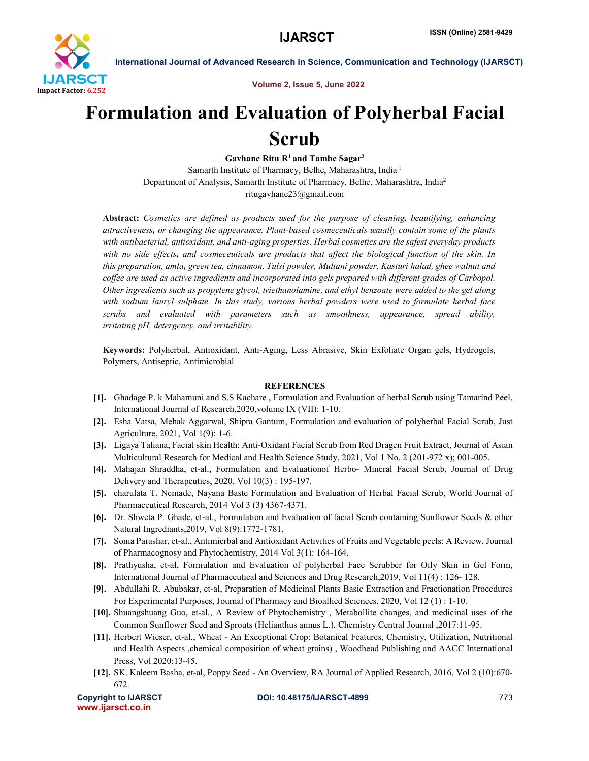

Volume 2, Issue 5, June 2022

International Journal of Advanced Research in Science, Communication and Technology (IJARSCT)

## Formulation and Evaluation of Polyherbal Facial Scrub

Gavhane Ritu  $R<sup>1</sup>$  and Tambe Sagar<sup>2</sup> Samarth Institute of Pharmacy, Belhe, Maharashtra, India <sup>1</sup> Department of Analysis, Samarth Institute of Pharmacy, Belhe, Maharashtra, India2 ritugavhane23@gmail.com

Abstract: *Cosmetics are defined as products used for the purpose of cleaning, beautifying, enhancing attractiveness, or changing the appearance. Plant-based cosmeceuticals usually contain some of the plants with antibacterial, antioxidant, and anti-aging properties. Herbal cosmetics are the safest everyday products with no side effects, and cosmeceuticals are products that affect the biological function of the skin. In this preparation, amla, green tea, cinnamon, Tulsi powder, Multani powder, Kasturi halad, ghee walnut and coffee are used as active ingredients and incorporated into gels prepared with different grades of Carbopol. Other ingredients such as propylene glycol, triethanolamine, and ethyl benzoate were added to the gel along with sodium lauryl sulphate. In this study, various herbal powders were used to formulate herbal face scrubs and evaluated with parameters such as smoothness, appearance, spread ability, irritating pH, detergency, and irritability.*

Keywords: Polyherbal, Antioxidant, Anti-Aging, Less Abrasive, Skin Exfoliate Organ gels, Hydrogels, Polymers, Antiseptic, Antimicrobial

## **REFERENCES**

- [1]. Ghadage P. k Mahamuni and S.S Kachare , Formulation and Evaluation of herbal Scrub using Tamarind Peel, International Journal of Research,2020,volume IX (VII): 1-10.
- [2]. Esha Vatsa, Mehak Aggarwal, Shipra Gantum, Formulation and evaluation of polyherbal Facial Scrub, Just Agriculture, 2021, Vol 1(9): 1-6.
- [3]. Ligaya Taliana, Facial skin Health: Anti-Oxidant Facial Scrub from Red Dragen Fruit Extract, Journal of Asian Multicultural Research for Medical and Health Science Study, 2021, Vol 1 No. 2 (201-972 x); 001-005.
- [4]. Mahajan Shraddha, et-al., Formulation and Evaluationof Herbo- Mineral Facial Scrub, Journal of Drug Delivery and Therapeutics, 2020. Vol 10(3) : 195-197.
- [5]. charulata T. Nemade, Nayana Baste Formulation and Evaluation of Herbal Facial Scrub, World Journal of Pharmaceutical Research, 2014 Vol 3 (3) 4367-4371.
- [6]. Dr. Shweta P. Ghade, et-al., Formulation and Evaluation of facial Scrub containing Sunflower Seeds & other Natural Ingrediants,2019, Vol 8(9):1772-1781.
- [7]. Sonia Parashar, et-al., Antimicrbal and Antioxidant Activities of Fruits and Vegetable peels: A Review, Journal of Pharmacognosy and Phytochemistry, 2014 Vol 3(1): 164-164.
- [8]. Prathyusha, et-al, Formulation and Evaluation of polyherbal Face Scrubber for Oily Skin in Gel Form, International Journal of Pharmaceutical and Sciences and Drug Research,2019, Vol 11(4) : 126- 128.
- [9]. Abdullahi R. Abubakar, et-al, Preparation of Medicinal Plants Basic Extraction and Fractionation Procedures For Experimental Purposes, Journal of Pharmacy and Bioallied Sciences, 2020, Vol 12 (1) : 1-10.
- [10]. Shuangshuang Guo, et-al., A Review of Phytochemistry , Metabollite changes, and medicinal uses of the Common Sunflower Seed and Sprouts (Helianthus annus L.), Chemistry Central Journal ,2017:11-95.
- [11]. Herbert Wieser, et-al., Wheat An Exceptional Crop: Botanical Features, Chemistry, Utilization, Nutritional and Health Aspects ,chemical composition of wheat grains) , Woodhead Publishing and AACC International Press, Vol 2020:13-45.
- [12]. SK. Kaleem Basha, et-al, Poppy Seed An Overview, RA Journal of Applied Research, 2016, Vol 2 (10):670- 672.